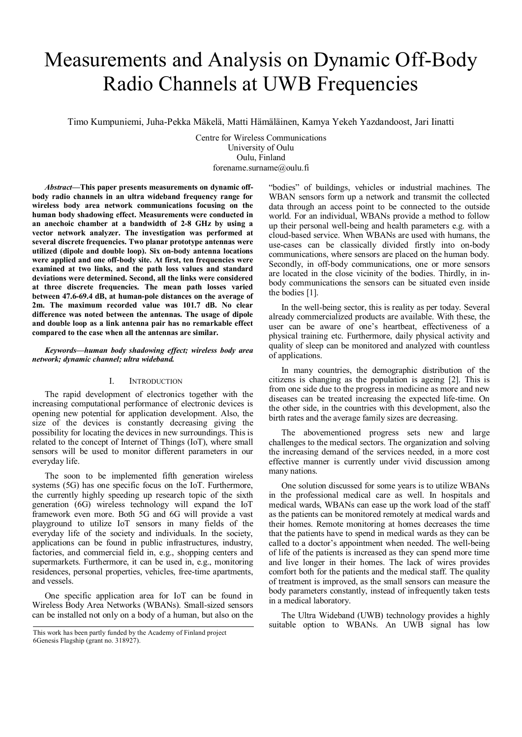# Measurements and Analysis on Dynamic Off-Body Radio Channels at UWB Frequencies

Timo Kumpuniemi, Juha-Pekka Mäkelä, Matti Hämäläinen, Kamya Yekeh Yazdandoost, Jari Iinatti

Centre for Wireless Communications University of Oulu Oulu, Finland forename.surname@oulu.fi

*Abstract***—This paper presents measurements on dynamic offbody radio channels in an ultra wideband frequency range for wireless body area network communications focusing on the human body shadowing effect. Measurements were conducted in an anechoic chamber at a bandwidth of 2-8 GHz by using a vector network analyzer. The investigation was performed at several discrete frequencies. Two planar prototype antennas were utilized (dipole and double loop). Six on-body antenna locations were applied and one off-body site. At first, ten frequencies were examined at two links, and the path loss values and standard deviations were determined. Second, all the links were considered at three discrete frequencies. The mean path losses varied between 47.6-69.4 dB, at human-pole distances on the average of 2m. The maximum recorded value was 101.7 dB. No clear difference was noted between the antennas. The usage of dipole and double loop as a link antenna pair has no remarkable effect compared to the case when all the antennas are similar.**

#### *Keywords—human body shadowing effect; wireless body area network; dynamic channel; ultra wideband.*

## I. INTRODUCTION

The rapid development of electronics together with the increasing computational performance of electronic devices is opening new potential for application development. Also, the size of the devices is constantly decreasing giving the possibility for locating the devices in new surroundings. This is related to the concept of Internet of Things (IoT), where small sensors will be used to monitor different parameters in our everyday life.

The soon to be implemented fifth generation wireless systems (5G) has one specific focus on the IoT. Furthermore, the currently highly speeding up research topic of the sixth generation (6G) wireless technology will expand the IoT framework even more. Both 5G and 6G will provide a vast playground to utilize IoT sensors in many fields of the everyday life of the society and individuals. In the society, applications can be found in public infrastructures, industry, factories, and commercial field in, e.g., shopping centers and supermarkets. Furthermore, it can be used in, e.g., monitoring residences, personal properties, vehicles, free-time apartments, and vessels.

One specific application area for IoT can be found in Wireless Body Area Networks (WBANs). Small-sized sensors can be installed not only on a body of a human, but also on the "bodies" of buildings, vehicles or industrial machines. The WBAN sensors form up a network and transmit the collected data through an access point to be connected to the outside world. For an individual, WBANs provide a method to follow up their personal well-being and health parameters e.g. with a cloud-based service. When WBANs are used with humans, the use-cases can be classically divided firstly into on-body communications, where sensors are placed on the human body. Secondly, in off-body communications, one or more sensors are located in the close vicinity of the bodies. Thirdly, in inbody communications the sensors can be situated even inside the bodies [1].

In the well-being sector, this is reality as per today. Several already commercialized products are available. With these, the user can be aware of one's heartbeat, effectiveness of a physical training etc. Furthermore, daily physical activity and quality of sleep can be monitored and analyzed with countless of applications.

In many countries, the demographic distribution of the citizens is changing as the population is ageing [2]. This is from one side due to the progress in medicine as more and new diseases can be treated increasing the expected life-time. On the other side, in the countries with this development, also the birth rates and the average family sizes are decreasing.

The abovementioned progress sets new and large challenges to the medical sectors. The organization and solving the increasing demand of the services needed, in a more cost effective manner is currently under vivid discussion among many nations.

One solution discussed for some years is to utilize WBANs in the professional medical care as well. In hospitals and medical wards, WBANs can ease up the work load of the staff as the patients can be monitored remotely at medical wards and their homes. Remote monitoring at homes decreases the time that the patients have to spend in medical wards as they can be called to a doctor's appointment when needed. The well-being of life of the patients is increased as they can spend more time and live longer in their homes. The lack of wires provides comfort both for the patients and the medical staff. The quality of treatment is improved, as the small sensors can measure the body parameters constantly, instead of infrequently taken tests in a medical laboratory.

The Ultra Wideband (UWB) technology provides a highly suitable option to WBANs. An UWB signal has low

This work has been partly funded by the Academy of Finland project 6Genesis Flagship (grant no. 318927).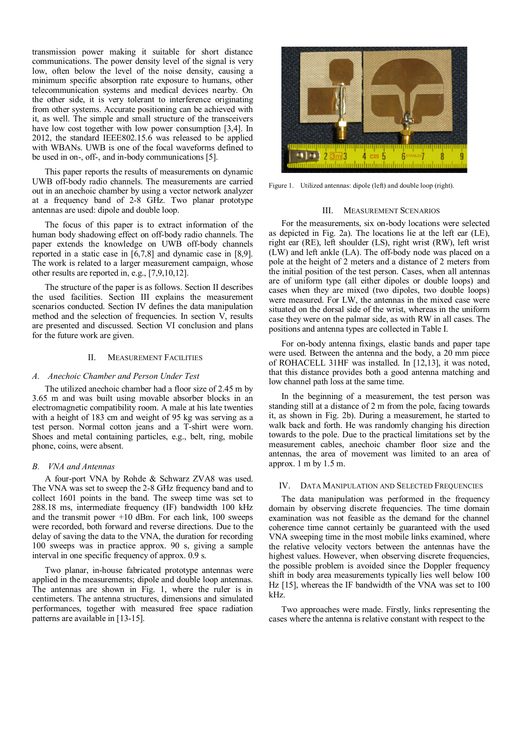transmission power making it suitable for short distance communications. The power density level of the signal is very low, often below the level of the noise density, causing a minimum specific absorption rate exposure to humans, other telecommunication systems and medical devices nearby. On the other side, it is very tolerant to interference originating from other systems. Accurate positioning can be achieved with it, as well. The simple and small structure of the transceivers have low cost together with low power consumption [3,4]. In 2012, the standard IEEE802.15.6 was released to be applied with WBANs. UWB is one of the focal waveforms defined to be used in on-, off-, and in-body communications [5].

This paper reports the results of measurements on dynamic UWB off-body radio channels. The measurements are carried out in an anechoic chamber by using a vector network analyzer at a frequency band of 2-8 GHz. Two planar prototype antennas are used: dipole and double loop.

The focus of this paper is to extract information of the human body shadowing effect on off-body radio channels. The paper extends the knowledge on UWB off-body channels reported in a static case in [6,7,8] and dynamic case in [8,9]. The work is related to a larger measurement campaign, whose other results are reported in, e.g., [7,9,10,12].

The structure of the paper is as follows. Section II describes the used facilities. Section III explains the measurement scenarios conducted. Section IV defines the data manipulation method and the selection of frequencies. In section V, results are presented and discussed. Section VI conclusion and plans for the future work are given.

### II. MEASUREMENT FACILITIES

#### *A. Anechoic Chamber and Person Under Test*

The utilized anechoic chamber had a floor size of 2.45 m by 3.65 m and was built using movable absorber blocks in an electromagnetic compatibility room. A male at his late twenties with a height of 183 cm and weight of 95 kg was serving as a test person. Normal cotton jeans and a T-shirt were worn. Shoes and metal containing particles, e.g., belt, ring, mobile phone, coins, were absent.

## *B. VNA and Antennas*

A four-port VNA by Rohde & Schwarz ZVA8 was used. The VNA was set to sweep the 2-8 GHz frequency band and to collect 1601 points in the band. The sweep time was set to 288.18 ms, intermediate frequency (IF) bandwidth 100 kHz and the transmit power  $+10$  dBm. For each link, 100 sweeps were recorded, both forward and reverse directions. Due to the delay of saving the data to the VNA, the duration for recording 100 sweeps was in practice approx. 90 s, giving a sample interval in one specific frequency of approx. 0.9 s.

Two planar, in-house fabricated prototype antennas were applied in the measurements; dipole and double loop antennas. The antennas are shown in Fig. 1, where the ruler is in centimeters. The antenna structures, dimensions and simulated performances, together with measured free space radiation patterns are available in [13-15].



Figure 1. Utilized antennas: dipole (left) and double loop (right).

#### III. MEASUREMENT SCENARIOS

For the measurements, six on-body locations were selected as depicted in Fig. 2a). The locations lie at the left ear (LE), right ear (RE), left shoulder (LS), right wrist (RW), left wrist (LW) and left ankle (LA). The off-body node was placed on a pole at the height of 2 meters and a distance of 2 meters from the initial position of the test person. Cases, when all antennas are of uniform type (all either dipoles or double loops) and cases when they are mixed (two dipoles, two double loops) were measured. For LW, the antennas in the mixed case were situated on the dorsal side of the wrist, whereas in the uniform case they were on the palmar side, as with RW in all cases. The positions and antenna types are collected in Table I.

For on-body antenna fixings, elastic bands and paper tape were used. Between the antenna and the body, a 20 mm piece of ROHACELL 31HF was installed. In [12,13], it was noted, that this distance provides both a good antenna matching and low channel path loss at the same time.

In the beginning of a measurement, the test person was standing still at a distance of 2 m from the pole, facing towards it, as shown in Fig. 2b). During a measurement, he started to walk back and forth. He was randomly changing his direction towards to the pole. Due to the practical limitations set by the measurement cables, anechoic chamber floor size and the antennas, the area of movement was limited to an area of approx. 1 m by 1.5 m.

### IV. DATA MANIPULATION AND SELECTED FREQUENCIES

The data manipulation was performed in the frequency domain by observing discrete frequencies. The time domain examination was not feasible as the demand for the channel coherence time cannot certainly be guaranteed with the used VNA sweeping time in the most mobile links examined, where the relative velocity vectors between the antennas have the highest values. However, when observing discrete frequencies, the possible problem is avoided since the Doppler frequency shift in body area measurements typically lies well below 100 Hz [15], whereas the IF bandwidth of the VNA was set to 100 kHz.

Two approaches were made. Firstly, links representing the cases where the antenna is relative constant with respect to the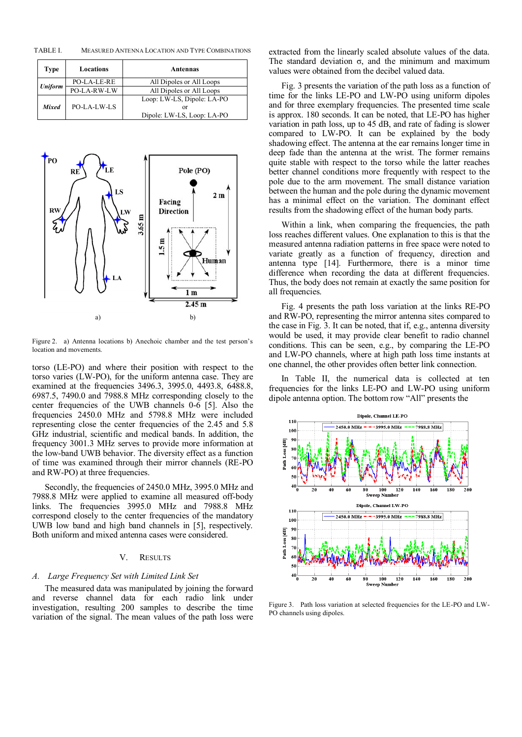TABLE I. MEASURED ANTENNA LOCATION AND TYPE COMBINATIONS

| <b>Type</b>    | Locations   | Antennas                   |  |  |  |  |
|----------------|-------------|----------------------------|--|--|--|--|
| <b>Uniform</b> | PO-LA-LE-RE | All Dipoles or All Loops   |  |  |  |  |
|                | PO-LA-RW-LW | All Dipoles or All Loops   |  |  |  |  |
|                |             | Loop: LW-LS, Dipole: LA-PO |  |  |  |  |
| <b>Mixed</b>   | PO-LA-LW-LS | or                         |  |  |  |  |
|                |             | Dipole: LW-LS, Loop: LA-PO |  |  |  |  |



Figure 2. a) Antenna locations b) Anechoic chamber and the test person's location and movements.

torso (LE-PO) and where their position with respect to the torso varies (LW-PO), for the uniform antenna case. They are examined at the frequencies 3496.3, 3995.0, 4493.8, 6488.8, 6987.5, 7490.0 and 7988.8 MHz corresponding closely to the center frequencies of the UWB channels 0-6 [5]. Also the frequencies 2450.0 MHz and 5798.8 MHz were included representing close the center frequencies of the 2.45 and 5.8 GHz industrial, scientific and medical bands. In addition, the frequency 3001.3 MHz serves to provide more information at the low-band UWB behavior. The diversity effect as a function of time was examined through their mirror channels (RE-PO and RW-PO) at three frequencies.

Secondly, the frequencies of 2450.0 MHz, 3995.0 MHz and 7988.8 MHz were applied to examine all measured off-body links. The frequencies 3995.0 MHz and 7988.8 MHz correspond closely to the center frequencies of the mandatory UWB low band and high band channels in [5], respectively. Both uniform and mixed antenna cases were considered.

#### V. RESULTS

#### *A. Large Frequency Set with Limited Link Set*

The measured data was manipulated by joining the forward and reverse channel data for each radio link under investigation, resulting 200 samples to describe the time variation of the signal. The mean values of the path loss were extracted from the linearly scaled absolute values of the data. The standard deviation  $\sigma$ , and the minimum and maximum values were obtained from the decibel valued data.

Fig. 3 presents the variation of the path loss as a function of time for the links LE-PO and LW-PO using uniform dipoles and for three exemplary frequencies. The presented time scale is approx. 180 seconds. It can be noted, that LE-PO has higher variation in path loss, up to 45 dB, and rate of fading is slower compared to LW-PO. It can be explained by the body shadowing effect. The antenna at the ear remains longer time in deep fade than the antenna at the wrist. The former remains quite stable with respect to the torso while the latter reaches better channel conditions more frequently with respect to the pole due to the arm movement. The small distance variation between the human and the pole during the dynamic movement has a minimal effect on the variation. The dominant effect results from the shadowing effect of the human body parts.

Within a link, when comparing the frequencies, the path loss reaches different values. One explanation to this is that the measured antenna radiation patterns in free space were noted to variate greatly as a function of frequency, direction and antenna type [14]. Furthermore, there is a minor time difference when recording the data at different frequencies. Thus, the body does not remain at exactly the same position for all frequencies.

Fig. 4 presents the path loss variation at the links RE-PO and RW-PO, representing the mirror antenna sites compared to the case in Fig. 3. It can be noted, that if, e.g., antenna diversity would be used, it may provide clear benefit to radio channel conditions. This can be seen, e.g., by comparing the LE-PO and LW-PO channels, where at high path loss time instants at one channel, the other provides often better link connection.

In Table II, the numerical data is collected at ten frequencies for the links LE-PO and LW-PO using uniform dipole antenna option. The bottom row "All" presents the



Figure 3. Path loss variation at selected frequencies for the LE-PO and LW-PO channels using dipoles.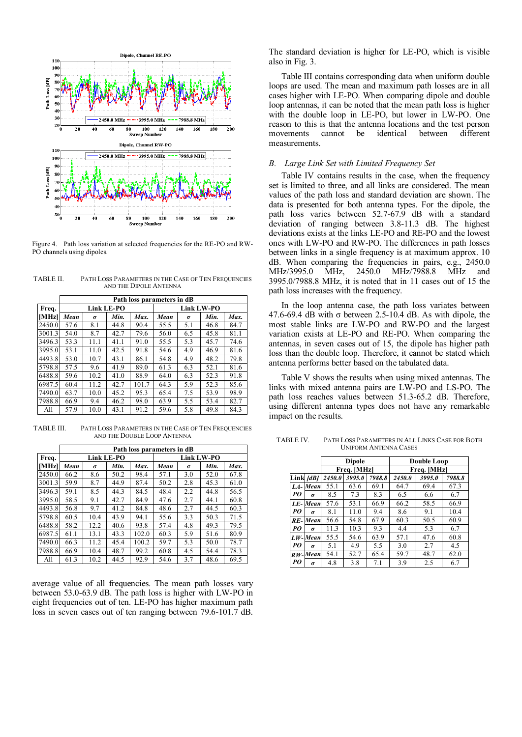

Figure 4. Path loss variation at selected frequencies for the RE-PO and RW-PO channels using dipoles.

| TABLE II. | PATH LOSS PARAMETERS IN THE CASE OF TEN FREQUENCIES |
|-----------|-----------------------------------------------------|
|           | AND THE DIPOLE ANTENNA                              |

|        | Path loss parameters in dB |          |      |       |                   |          |      |      |  |
|--------|----------------------------|----------|------|-------|-------------------|----------|------|------|--|
| Freq.  | Link LE-PO                 |          |      |       | <b>Link LW-PO</b> |          |      |      |  |
| [MHz]  | Mean                       | $\sigma$ | Min. | Max.  | Mean              | $\sigma$ | Min. | Max. |  |
| 2450.0 | 57.6                       | 8.1      | 44.8 | 90.4  | 55.5              | 5.1      | 46.8 | 84.7 |  |
| 3001.3 | 54.0                       | 8.7      | 42.7 | 79.6  | 56.0              | 6.5      | 45.8 | 81.1 |  |
| 3496.3 | 53.3                       | 11.1     | 41.1 | 91.0  | 55.5              | 5.3      | 45.7 | 74.6 |  |
| 3995.0 | 53.1                       | 11.0     | 42.5 | 91.8  | 54.6              | 4.9      | 46.9 | 81.6 |  |
| 4493.8 | 53.0                       | 10.7     | 43.1 | 86.1  | 54.8              | 4.9      | 48.2 | 79.8 |  |
| 5798.8 | 57.5                       | 9.6      | 41.9 | 89.0  | 61.3              | 6.3      | 52.1 | 81.6 |  |
| 6488.8 | 59.6                       | 10.2     | 41.0 | 88.9  | 64.0              | 6.3      | 52.3 | 91.8 |  |
| 6987.5 | 60.4                       | 11.2     | 42.7 | 101.7 | 64.3              | 5.9      | 52.3 | 85.6 |  |
| 7490.0 | 63.7                       | 10.0     | 45.2 | 95.3  | 65.4              | 7.5      | 53.9 | 98.9 |  |
| 7988.8 | 66.9                       | 9.4      | 46.2 | 98.0  | 63.9              | 5.5      | 53.4 | 82.7 |  |
| All    | 57.9                       | 10.0     | 43.1 | 91.2  | 59.6              | 5.8      | 49.8 | 84.3 |  |

TABLE III. PATH LOSS PARAMETERS IN THE CASE OF TEN FREQUENCIES AND THE DOUBLE LOOP ANTENNA

|        | Path loss parameters in dB |          |      |       |                   |          |      |      |  |
|--------|----------------------------|----------|------|-------|-------------------|----------|------|------|--|
| Freq.  | <b>Link LE-PO</b>          |          |      |       | <b>Link LW-PO</b> |          |      |      |  |
| [MHz]  | Mean                       | $\sigma$ | Min. | Max.  | Mean              | $\sigma$ | Min. | Max. |  |
| 2450.0 | 66.2                       | 8.6      | 50.2 | 98.4  | 57.1              | 3.0      | 52.0 | 67.8 |  |
| 3001.3 | 59.9                       | 8.7      | 44.9 | 87.4  | 50.2              | 2.8      | 45.3 | 61.0 |  |
| 3496.3 | 59.1                       | 8.5      | 44.3 | 84.5  | 48.4              | 2.2      | 44.8 | 56.5 |  |
| 3995.0 | 58.5                       | 9.1      | 42.7 | 84.9  | 47.6              | 2.7      | 44.1 | 60.8 |  |
| 4493.8 | 56.8                       | 9.7      | 41.2 | 84.8  | 48.6              | 2.7      | 44.5 | 60.3 |  |
| 5798.8 | 60.5                       | 10.4     | 43.9 | 94.1  | 55.6              | 3.3      | 50.3 | 71.5 |  |
| 6488.8 | 58.2                       | 12.2     | 40.6 | 93.8  | 57.4              | 4.8      | 49.3 | 79.5 |  |
| 6987.5 | 61.1                       | 13.1     | 43.3 | 102.0 | 60.3              | 5.9      | 51.6 | 80.9 |  |
| 7490.0 | 66.3                       | 11.2     | 45.4 | 100.2 | 59.7              | 5.3      | 50.0 | 78.7 |  |
| 7988.8 | 66.9                       | 10.4     | 48.7 | 99.2  | 60.8              | 4.5      | 54.4 | 78.3 |  |
| All    | 61.3                       | 10.2     | 44.5 | 92.9  | 54.6              | 3.7      | 48.6 | 69.5 |  |

average value of all frequencies. The mean path losses vary between 53.0-63.9 dB. The path loss is higher with LW-PO in eight frequencies out of ten. LE-PO has higher maximum path loss in seven cases out of ten ranging between 79.6-101.7 dB. The standard deviation is higher for LE-PO, which is visible also in Fig. 3.

Table III contains corresponding data when uniform double loops are used. The mean and maximum path losses are in all cases higher with LE-PO. When comparing dipole and double loop antennas, it can be noted that the mean path loss is higher with the double loop in LE-PO, but lower in LW-PO. One reason to this is that the antenna locations and the test person<br>movements cannot be identical between different movements cannot be identical between different measurements.

## *B. Large Link Set with Limited Frequency Set*

Table IV contains results in the case, when the frequency set is limited to three, and all links are considered. The mean values of the path loss and standard deviation are shown. The data is presented for both antenna types. For the dipole, the path loss varies between 52.7-67.9 dB with a standard deviation of ranging between 3.8-11.3 dB. The highest deviations exists at the links LE-PO and RE-PO and the lowest ones with LW-PO and RW-PO. The differences in path losses between links in a single frequency is at maximum approx. 10 dB. When comparing the frequencies in pairs, e.g., 2450.0 MHz/3995.0 MHz, 2450.0 MHz/7988.8 MHz and 3995.0/7988.8 MHz, it is noted that in 11 cases out of 15 the path loss increases with the frequency.

In the loop antenna case, the path loss variates between 47.6-69.4 dB with  $\sigma$  between 2.5-10.4 dB. As with dipole, the most stable links are LW-PO and RW-PO and the largest variation exists at LE-PO and RE-PO. When comparing the antennas, in seven cases out of 15, the dipole has higher path loss than the double loop. Therefore, it cannot be stated which antenna performs better based on the tabulated data.

Table V shows the results when using mixed antennas. The links with mixed antenna pairs are LW-PO and LS-PO. The path loss reaches values between 51.3-65.2 dB. Therefore, using different antenna types does not have any remarkable impact on the results.

TABLE IV. PATH LOSS PARAMETERS IN ALL LINKS CASE FOR BOTH UNIFORM ANTENNA CASES

|            |                |                            | <b>Dipole</b> |      | Double Loop |        |        |  |
|------------|----------------|----------------------------|---------------|------|-------------|--------|--------|--|
|            |                | Freq. [MHz]                |               |      | Freq. [MHz] |        |        |  |
| Link $/dB$ |                | 3995.0<br>7988.8<br>2450.0 |               |      | 2450.0      | 3995.0 | 7988.8 |  |
|            | LA-Mean        | 55.1                       | 63.6          | 69.1 | 64.7        | 69.4   | 67.3   |  |
| PO         | $\sigma$       | 8.5                        | 7.3           | 8.3  | 6.5         | 6.6    | 6.7    |  |
|            | <b>LE-Mean</b> | 57.6                       | 53.1          | 66.9 | 66.2        | 58.5   | 66.9   |  |
| PO         | $\sigma$       | 8.1                        | 11.0          | 9.4  | 8.6         | 9.1    | 10.4   |  |
|            | <b>RE-Mean</b> | 56.6                       | 54.8          | 67.9 | 60.3        | 50.5   | 60.9   |  |
| PO         | $\sigma$       | 11.3                       | 10.3          | 9.3  | 4.4         | 5.3    | 6.7    |  |
|            | LW-Mean        | 55.5                       | 54.6          | 63.9 | 57.1        | 47.6   | 60.8   |  |
| PO         | $\sigma$       | 5.1                        | 4.9           | 5.5  | 3.0         | 2.7    | 4.5    |  |
|            | RW-Mean        | 54.1                       | 52.7          | 65.4 | 59.7        | 48.7   | 62.0   |  |
| PO         | $\sigma$       | 4.8                        | 3.8           | 7.1  | 3.9         | 2.5    | 6.7    |  |